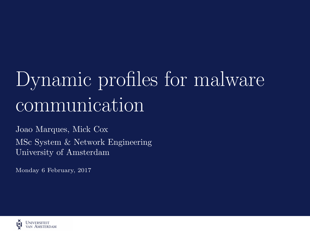# <span id="page-0-0"></span>Dynamic profiles for malware communication

Joao Marques, Mick Cox MSc System & Network Engineering University of Amsterdam

Monday 6 February, 2017

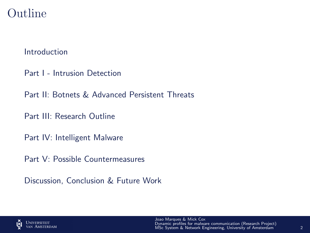#### Outline

[Introduction](#page-2-0)

[Part I - Intrusion Detection](#page-5-0)

[Part II: Botnets & Advanced Persistent Threats](#page-11-0)

[Part III: Research Outline](#page-17-0)

[Part IV: Intelligent Malware](#page-21-0)

[Part V: Possible Countermeasures](#page-28-0)

[Discussion, Conclusion & Future Work](#page-37-0)

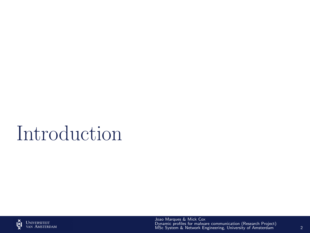# <span id="page-2-0"></span>Introduction

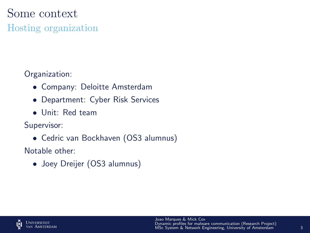#### Some context

Hosting organization

Organization:

- Company: Deloitte Amsterdam
- Department: Cyber Risk Services
- Unit: Red team

Supervisor:

• Cedric van Bockhaven (OS3 alumnus)

Notable other:

• Joey Dreijer (OS3 alumnus)

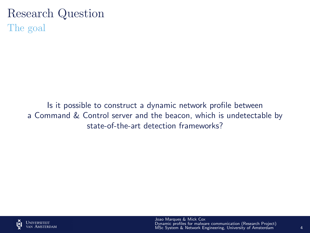#### Research Question The goal

Is it possible to construct a dynamic network profile between a Command & Control server and the beacon, which is undetectable by state-of-the-art detection frameworks?

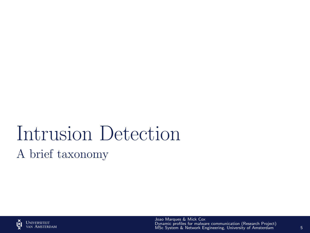# <span id="page-5-0"></span>Intrusion Detection A brief taxonomy

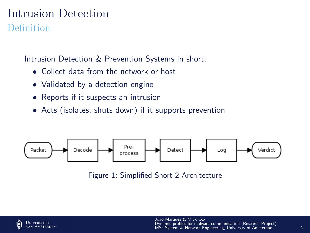#### Intrusion Detection Definition

Intrusion Detection & Prevention Systems in short:

- Collect data from the network or host
- Validated by a detection engine
- Reports if it suspects an intrusion
- Acts (isolates, shuts down) if it supports prevention



Figure 1: Simplified Snort 2 Architecture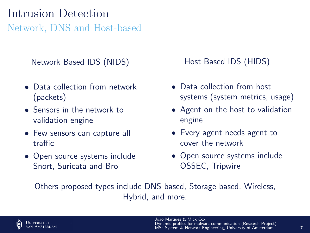#### Intrusion Detection Network, DNS and Host-based

Network Based IDS (NIDS)

- Data collection from network (packets)
- Sensors in the network to validation engine
- Few sensors can capture all traffic
- Open source systems include Snort, Suricata and Bro

Host Based IDS (HIDS)

- Data collection from host systems (system metrics, usage)
- Agent on the host to validation engine
- Every agent needs agent to cover the network
- Open source systems include OSSEC, Tripwire

Others proposed types include DNS based, Storage based, Wireless, Hybrid, and more.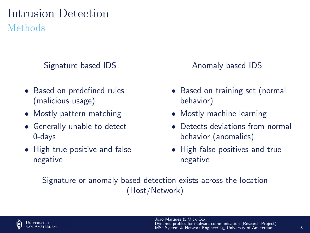#### Intrusion Detection Methods

Signature based IDS

- Based on predefined rules (malicious usage)
- Mostly pattern matching
- Generally unable to detect 0-days
- High true positive and false negative

Anomaly based IDS

- Based on training set (normal behavior)
- Mostly machine learning
- Detects deviations from normal behavior (anomalies)
- High false positives and true negative

Signature or anomaly based detection exists across the location (Host/Network)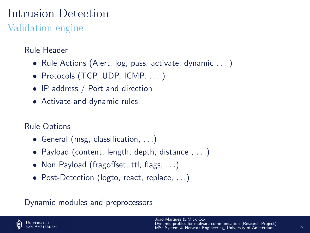### Intrusion Detection

Validation engine

#### Rule Header

- Rule Actions (Alert, log, pass, activate, dynamic ...)
- Protocols (TCP, UDP, ICMP, ... )
- IP address / Port and direction
- Activate and dynamic rules

#### Rule Options

- General (msg, classification, . . .)
- Payload (content, length, depth, distance , . . .)
- Non Payload (fragoffset, ttl, flags, ...)
- Post-Detection (logto, react, replace, ...)

#### Dynamic modules and preprocessors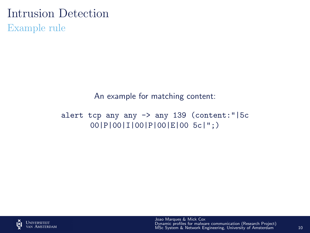#### Intrusion Detection

Example rule

An example for matching content:

alert tcp any any -> any 139 (content:"|5c 00|P|00|I|00|P|00|E|00 5c|";)

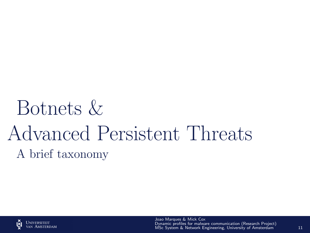# <span id="page-11-0"></span>Botnets & Advanced Persistent Threats A brief taxonomy

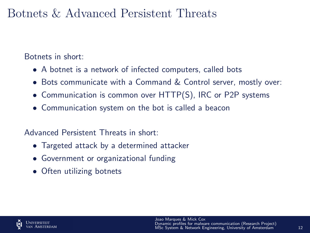#### Botnets & Advanced Persistent Threats

Botnets in short:

- A botnet is a network of infected computers, called bots
- Bots communicate with a Command & Control server, mostly over:
- Communication is common over HTTP(S), IRC or P2P systems
- Communication system on the bot is called a beacon

Advanced Persistent Threats in short:

- Targeted attack by a determined attacker
- Government or organizational funding
- Often utilizing botnets

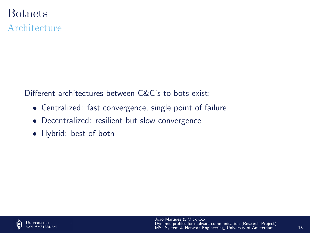## Botnets

Architecture

Different architectures between C&C's to bots exist:

- Centralized: fast convergence, single point of failure
- Decentralized: resilient but slow convergence
- Hybrid: best of both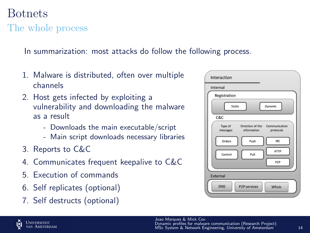## Joao Marques & Mick Cox [Dynamic profiles for malware communication \(Research Project\)](#page-0-0) MSc System & Network Engineering, University of Amsterdam 14

#### Botnets The whole process

In summarization: most attacks do follow the following process.

- 1. Malware is distributed, often over multiple channels
- 2. Host gets infected by exploiting a vulnerability and downloading the malware as a result
	- Downloads the main executable/script
	- Main script downloads necessary libraries
- 3. Reports to C&C
- 4. Communicates frequent keepalive to C&C
- 5. Execution of commands
- 6. Self replicates (optional)
- 7. Self destructs (optional)

| Interaction                                                                          |
|--------------------------------------------------------------------------------------|
| Internal                                                                             |
| Registration                                                                         |
| Static<br>Dynamic                                                                    |
| $c$ & $c$                                                                            |
| Direction of the<br>Type of<br>Communication<br>information<br>protocols<br>messages |
| Orders<br><b>IRC</b><br>Push                                                         |
| <b>HTTP</b><br>Control<br>Pull                                                       |
| P <sub>2</sub> P                                                                     |
| <b>External</b>                                                                      |
| <b>DNS</b><br><b>P2P services</b><br><b>Whois</b>                                    |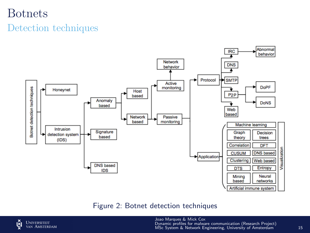#### Botnets

#### Detection techniques



#### Figure 2: Botnet detection techniques

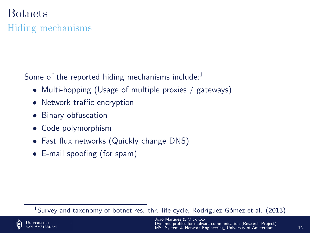#### Botnets

#### Hiding mechanisms

Some of the reported hiding mechanisms include:<sup>1</sup>

- Multi-hopping (Usage of multiple proxies / gateways)
- Network traffic encryption
- Binary obfuscation
- Code polymorphism
- Fast flux networks (Quickly change DNS)
- E-mail spoofing (for spam)

 $1$ Survey and taxonomy of botnet res. thr. life-cycle, Rodríguez-Gómez et al. (2013)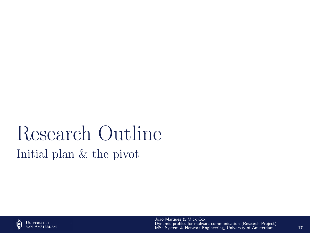# <span id="page-17-0"></span>Research Outline Initial plan & the pivot

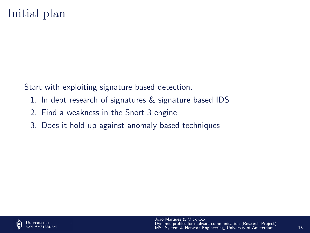#### Initial plan

Start with exploiting signature based detection.

- 1. In dept research of signatures & signature based IDS
- 2. Find a weakness in the Snort 3 engine
- 3. Does it hold up against anomaly based techniques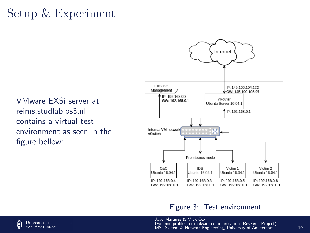### Setup & Experiment

VMware EXSi server at reims.studlab.os3.nl contains a virtual test environment as seen in the figure bellow:



#### Figure 3: Test environment

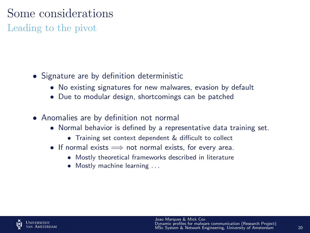### Some considerations

Leading to the pivot

- Signature are by definition deterministic
	- No existing signatures for new malwares, evasion by default
	- Due to modular design, shortcomings can be patched
- Anomalies are by definition not normal
	- Normal behavior is defined by a representative data training set.
		- Training set context dependent & difficult to collect
	- If normal exists  $\implies$  not normal exists, for every area.
		- Mostly theoretical frameworks described in literature
		- Mostly machine learning ...

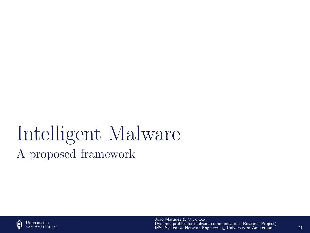# <span id="page-21-0"></span>Intelligent Malware A proposed framework

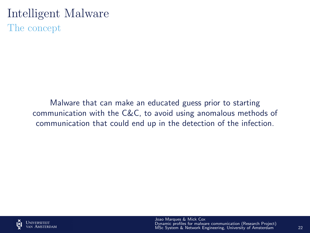#### Intelligent Malware

The concept

Malware that can make an educated guess prior to starting communication with the C&C, to avoid using anomalous methods of communication that could end up in the detection of the infection.

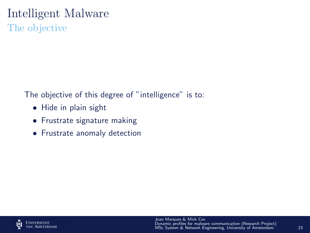## Intelligent Malware

The objective

The objective of this degree of "intelligence" is to:

- Hide in plain sight
- Frustrate signature making
- Frustrate anomaly detection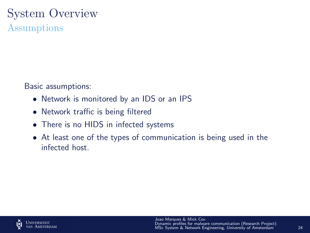#### System Overview Assumptions

Basic assumptions:

- Network is monitored by an IDS or an IPS
- Network traffic is being filtered
- There is no HIDS in infected systems
- At least one of the types of communication is being used in the infected host.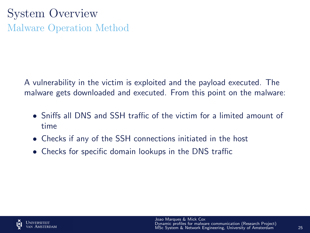## System Overview Malware Operation Method

A vulnerability in the victim is exploited and the payload executed. The malware gets downloaded and executed. From this point on the malware:

- Sniffs all DNS and SSH traffic of the victim for a limited amount of time
- Checks if any of the SSH connections initiated in the host
- Checks for specific domain lookups in the DNS traffic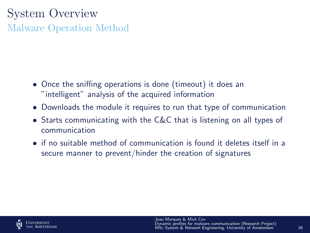## System Overview Malware Operation Method

- Once the sniffing operations is done (timeout) it does an "intelligent" analysis of the acquired information
- Downloads the module it requires to run that type of communication
- Starts communicating with the C&C that is listening on all types of communication
- if no suitable method of communication is found it deletes itself in a secure manner to prevent/hinder the creation of signatures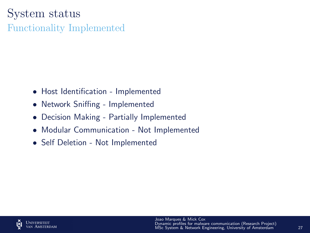## System status

Functionality Implemented

- Host Identification Implemented
- Network Sniffing Implemented
- Decision Making Partially Implemented
- Modular Communication Not Implemented
- Self Deletion Not Implemented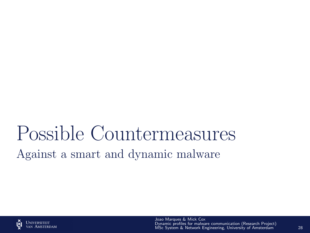## <span id="page-28-0"></span>Possible Countermeasures Against a smart and dynamic malware

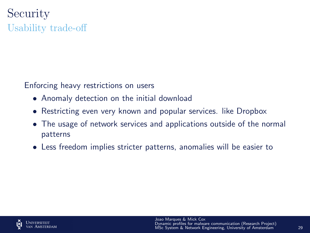## **Security** Usability trade-off

Enforcing heavy restrictions on users

- Anomaly detection on the initial download
- Restricting even very known and popular services. like Dropbox
- The usage of network services and applications outside of the normal patterns
- Less freedom implies stricter patterns, anomalies will be easier to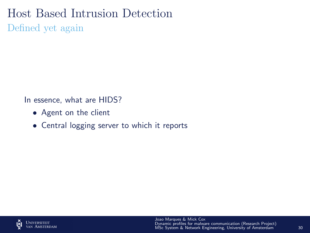#### Host Based Intrusion Detection

Defined yet again

In essence, what are HIDS?

- Agent on the client
- Central logging server to which it reports

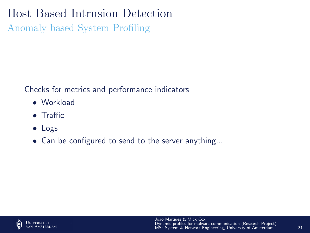#### Host Based Intrusion Detection

Anomaly based System Profiling

Checks for metrics and performance indicators

- Workload
- Traffic
- Logs
- Can be configured to send to the server anything...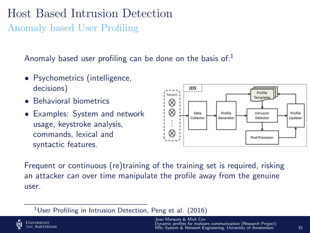#### Host Based Intrusion Detection Anomaly based User Profiling

Anomaly based user profiling can be done on the basis of: $<sup>1</sup>$ </sup>

- Psychometrics (intelligence, decisions)
- Behavioral biometrics
- Examples: System and network usage, keystroke analysis, commands, lexical and syntactic features.



Frequent or continuous (re)training of the training set is required, risking an attacker can over time manipulate the profile away from the genuine user.

<sup>&</sup>lt;sup>1</sup>User Profiling in Intrusion Detection, Peng et al. (2016)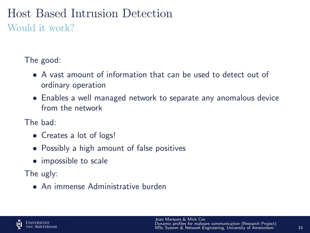#### Host Based Intrusion Detection Would it work?

The good:

- A vast amount of information that can be used to detect out of ordinary operation
- Enables a well managed network to separate any anomalous device from the network

The bad:

- Creates a lot of logs!
- Possibly a high amount of false positives
- impossible to scale

The ugly:

• An immense Administrative burden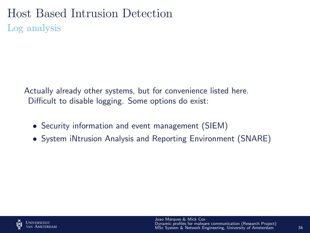#### Host Based Intrusion Detection Log analysis

Actually already other systems, but for convenience listed here. Difficult to disable logging. Some options do exist:

- Security information and event management (SIEM)
- System iNtrusion Analysis and Reporting Environment (SNARE)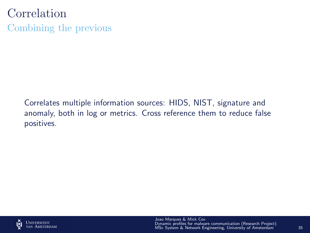Correlation Combining the previous

> Correlates multiple information sources: HIDS, NIST, signature and anomaly, both in log or metrics. Cross reference them to reduce false positives.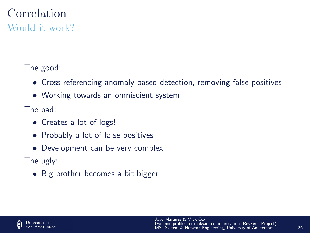#### Correlation Would it work?

The good:

- Cross referencing anomaly based detection, removing false positives
- Working towards an omniscient system

The bad:

- Creates a lot of logs!
- Probably a lot of false positives
- Development can be very complex

The ugly:

• Big brother becomes a bit bigger

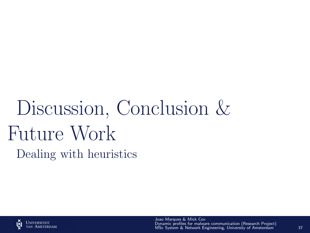# <span id="page-37-0"></span>Discussion, Conclusion & Future Work Dealing with heuristics

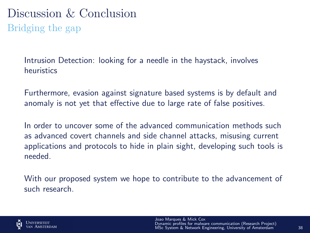## Discussion & Conclusion Bridging the gap

Intrusion Detection: looking for a needle in the haystack, involves heuristics

Furthermore, evasion against signature based systems is by default and anomaly is not yet that effective due to large rate of false positives.

In order to uncover some of the advanced communication methods such as advanced covert channels and side channel attacks, misusing current applications and protocols to hide in plain sight, developing such tools is needed.

With our proposed system we hope to contribute to the advancement of such research.